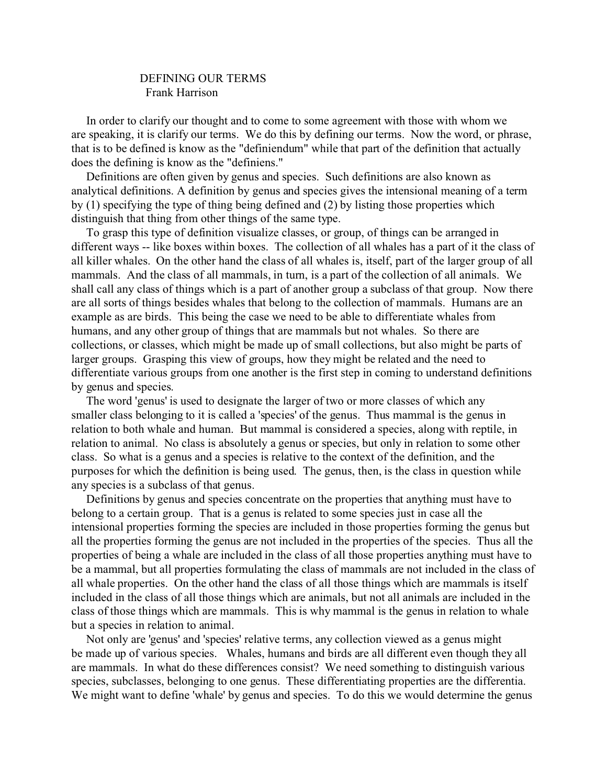## DEFINING OUR TERMS Frank Harrison

 In order to clarify our thought and to come to some agreement with those with whom we are speaking, it is clarify our terms. We do this by defining our terms. Now the word, or phrase, that is to be defined is know as the "definiendum" while that part of the definition that actually does the defining is know as the "definiens."

 Definitions are often given by genus and species. Such definitions are also known as analytical definitions. A definition by genus and species gives the intensional meaning of a term by (1) specifying the type of thing being defined and (2) by listing those properties which distinguish that thing from other things of the same type.

 To grasp this type of definition visualize classes, or group, of things can be arranged in different ways -- like boxes within boxes. The collection of all whales has a part of it the class of all killer whales. On the other hand the class of all whales is, itself, part of the larger group of all mammals. And the class of all mammals, in turn, is a part of the collection of all animals. We shall call any class of things which is a part of another group a subclass of that group. Now there are all sorts of things besides whales that belong to the collection of mammals. Humans are an example as are birds. This being the case we need to be able to differentiate whales from humans, and any other group of things that are mammals but not whales. So there are collections, or classes, which might be made up of small collections, but also might be parts of larger groups. Grasping this view of groups, how they might be related and the need to differentiate various groups from one another is the first step in coming to understand definitions by genus and species.

 The word 'genus' is used to designate the larger of two or more classes of which any smaller class belonging to it is called a 'species' of the genus. Thus mammal is the genus in relation to both whale and human. But mammal is considered a species, along with reptile, in relation to animal. No class is absolutely a genus or species, but only in relation to some other class. So what is a genus and a species is relative to the context of the definition, and the purposes for which the definition is being used. The genus, then, is the class in question while any species is a subclass of that genus.

 Definitions by genus and species concentrate on the properties that anything must have to belong to a certain group. That is a genus is related to some species just in case all the intensional properties forming the species are included in those properties forming the genus but all the properties forming the genus are not included in the properties of the species. Thus all the properties of being a whale are included in the class of all those properties anything must have to be a mammal, but all properties formulating the class of mammals are not included in the class of all whale properties. On the other hand the class of all those things which are mammals is itself included in the class of all those things which are animals, but not all animals are included in the class of those things which are mammals. This is why mammal is the genus in relation to whale but a species in relation to animal.

 Not only are 'genus' and 'species' relative terms, any collection viewed as a genus might be made up of various species. Whales, humans and birds are all different even though they all are mammals. In what do these differences consist? We need something to distinguish various species, subclasses, belonging to one genus. These differentiating properties are the differentia. We might want to define 'whale' by genus and species. To do this we would determine the genus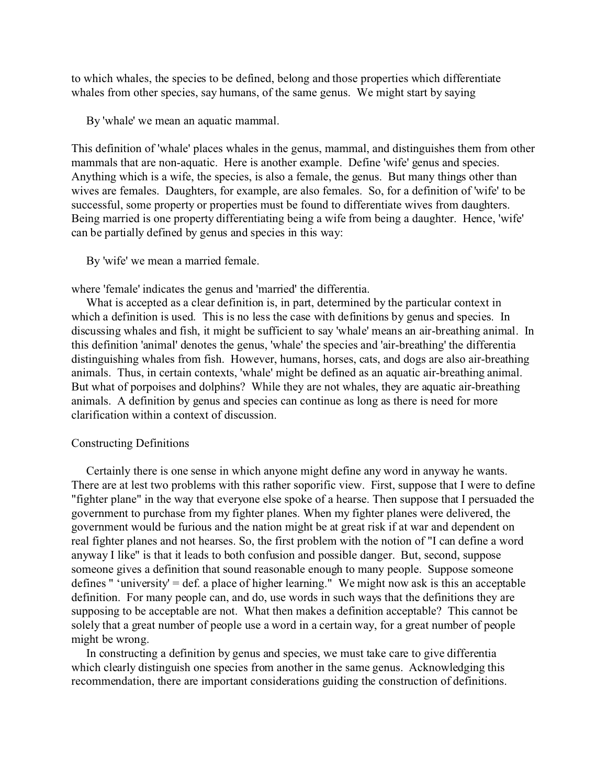to which whales, the species to be defined, belong and those properties which differentiate whales from other species, say humans, of the same genus. We might start by saying

By 'whale' we mean an aquatic mammal.

This definition of 'whale' places whales in the genus, mammal, and distinguishes them from other mammals that are non-aquatic. Here is another example. Define 'wife' genus and species. Anything which is a wife, the species, is also a female, the genus. But many things other than wives are females. Daughters, for example, are also females. So, for a definition of 'wife' to be successful, some property or properties must be found to differentiate wives from daughters. Being married is one property differentiating being a wife from being a daughter. Hence, 'wife' can be partially defined by genus and species in this way:

## By 'wife' we mean a married female.

where 'female' indicates the genus and 'married' the differentia.

 What is accepted as a clear definition is, in part, determined by the particular context in which a definition is used. This is no less the case with definitions by genus and species. In discussing whales and fish, it might be sufficient to say 'whale' means an air-breathing animal. In this definition 'animal' denotes the genus, 'whale' the species and 'air-breathing' the differentia distinguishing whales from fish. However, humans, horses, cats, and dogs are also air-breathing animals. Thus, in certain contexts, 'whale' might be defined as an aquatic air-breathing animal. But what of porpoises and dolphins? While they are not whales, they are aquatic air-breathing animals. A definition by genus and species can continue as long as there is need for more clarification within a context of discussion.

## Constructing Definitions

 Certainly there is one sense in which anyone might define any word in anyway he wants. There are at lest two problems with this rather soporific view. First, suppose that I were to define "fighter plane" in the way that everyone else spoke of a hearse. Then suppose that I persuaded the government to purchase from my fighter planes. When my fighter planes were delivered, the government would be furious and the nation might be at great risk if at war and dependent on real fighter planes and not hearses. So, the first problem with the notion of "I can define a word anyway I like" is that it leads to both confusion and possible danger. But, second, suppose someone gives a definition that sound reasonable enough to many people. Suppose someone defines " 'university' = def. a place of higher learning." We might now ask is this an acceptable definition. For many people can, and do, use words in such ways that the definitions they are supposing to be acceptable are not. What then makes a definition acceptable? This cannot be solely that a great number of people use a word in a certain way, for a great number of people might be wrong.

 In constructing a definition by genus and species, we must take care to give differentia which clearly distinguish one species from another in the same genus. Acknowledging this recommendation, there are important considerations guiding the construction of definitions.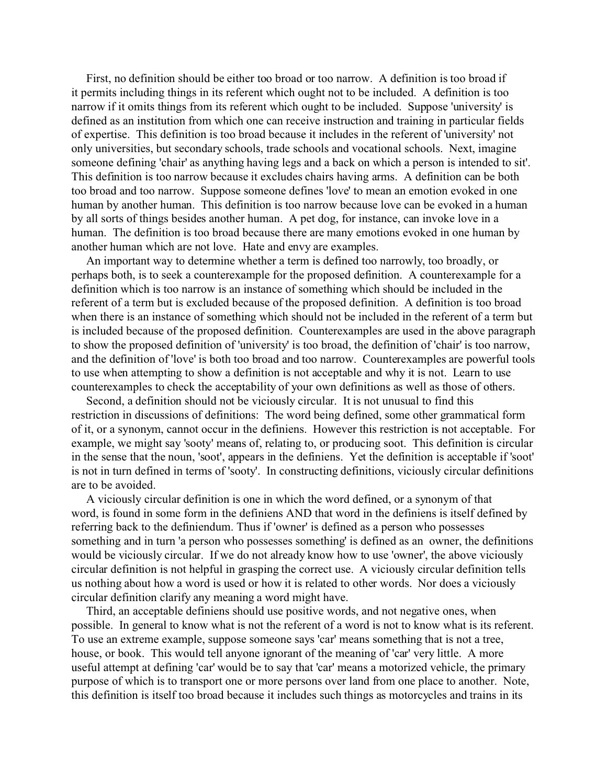First, no definition should be either too broad or too narrow. A definition is too broad if it permits including things in its referent which ought not to be included. A definition is too narrow if it omits things from its referent which ought to be included. Suppose 'university' is defined as an institution from which one can receive instruction and training in particular fields of expertise. This definition is too broad because it includes in the referent of 'university' not only universities, but secondary schools, trade schools and vocational schools. Next, imagine someone defining 'chair' as anything having legs and a back on which a person is intended to sit'. This definition is too narrow because it excludes chairs having arms. A definition can be both too broad and too narrow. Suppose someone defines 'love' to mean an emotion evoked in one human by another human. This definition is too narrow because love can be evoked in a human by all sorts of things besides another human. A pet dog, for instance, can invoke love in a human. The definition is too broad because there are many emotions evoked in one human by another human which are not love. Hate and envy are examples.

 An important way to determine whether a term is defined too narrowly, too broadly, or perhaps both, is to seek a counterexample for the proposed definition. A counterexample for a definition which is too narrow is an instance of something which should be included in the referent of a term but is excluded because of the proposed definition. A definition is too broad when there is an instance of something which should not be included in the referent of a term but is included because of the proposed definition. Counterexamples are used in the above paragraph to show the proposed definition of 'university' is too broad, the definition of 'chair' is too narrow, and the definition of 'love' is both too broad and too narrow. Counterexamples are powerful tools to use when attempting to show a definition is not acceptable and why it is not. Learn to use counterexamples to check the acceptability of your own definitions as well as those of others.

 Second, a definition should not be viciously circular. It is not unusual to find this restriction in discussions of definitions: The word being defined, some other grammatical form of it, or a synonym, cannot occur in the definiens. However this restriction is not acceptable. For example, we might say 'sooty' means of, relating to, or producing soot. This definition is circular in the sense that the noun, 'soot', appears in the definiens. Yet the definition is acceptable if 'soot' is not in turn defined in terms of 'sooty'. In constructing definitions, viciously circular definitions are to be avoided.

 A viciously circular definition is one in which the word defined, or a synonym of that word, is found in some form in the definiens AND that word in the definiens is itself defined by referring back to the definiendum. Thus if 'owner' is defined as a person who possesses something and in turn 'a person who possesses something' is defined as an owner, the definitions would be viciously circular. If we do not already know how to use 'owner', the above viciously circular definition is not helpful in grasping the correct use. A viciously circular definition tells us nothing about how a word is used or how it is related to other words. Nor does a viciously circular definition clarify any meaning a word might have.

 Third, an acceptable definiens should use positive words, and not negative ones, when possible. In general to know what is not the referent of a word is not to know what is its referent. To use an extreme example, suppose someone says 'car' means something that is not a tree, house, or book. This would tell anyone ignorant of the meaning of 'car' very little. A more useful attempt at defining 'car' would be to say that 'car' means a motorized vehicle, the primary purpose of which is to transport one or more persons over land from one place to another. Note, this definition is itself too broad because it includes such things as motorcycles and trains in its